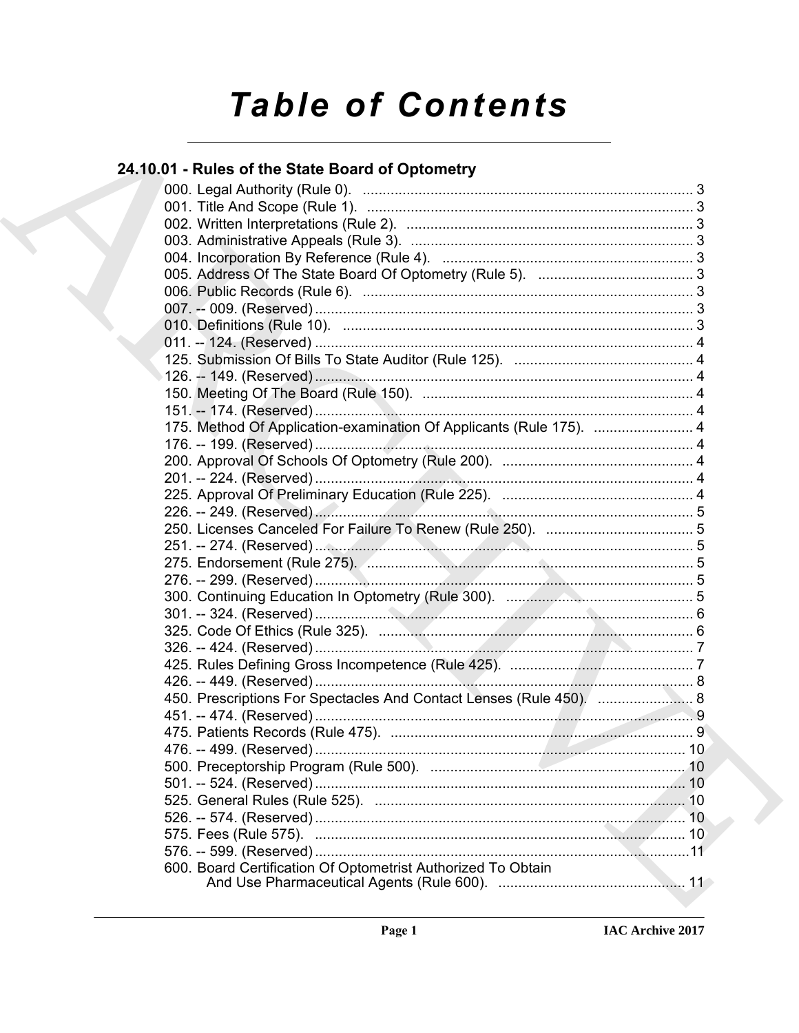# **Table of Contents**

# 24.10.01 - Rules of the State Board of Optometry

| 175. Method Of Application-examination Of Applicants (Rule 175).  4 |  |
|---------------------------------------------------------------------|--|
|                                                                     |  |
|                                                                     |  |
|                                                                     |  |
|                                                                     |  |
|                                                                     |  |
|                                                                     |  |
|                                                                     |  |
|                                                                     |  |
|                                                                     |  |
|                                                                     |  |
|                                                                     |  |
|                                                                     |  |
|                                                                     |  |
|                                                                     |  |
|                                                                     |  |
| 450. Prescriptions For Spectacles And Contact Lenses (Rule 450).  8 |  |
|                                                                     |  |
|                                                                     |  |
|                                                                     |  |
|                                                                     |  |
|                                                                     |  |
|                                                                     |  |
|                                                                     |  |
|                                                                     |  |
|                                                                     |  |
| 600. Board Certification Of Optometrist Authorized To Obtain        |  |
|                                                                     |  |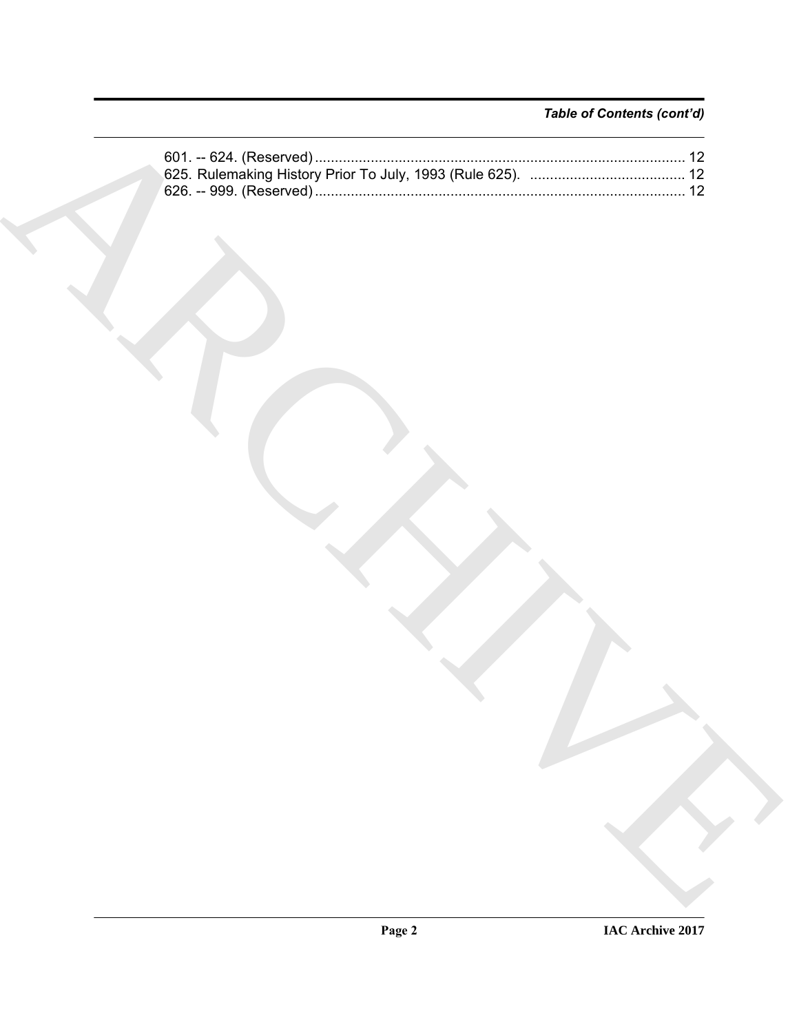## *Table of Contents (cont'd)*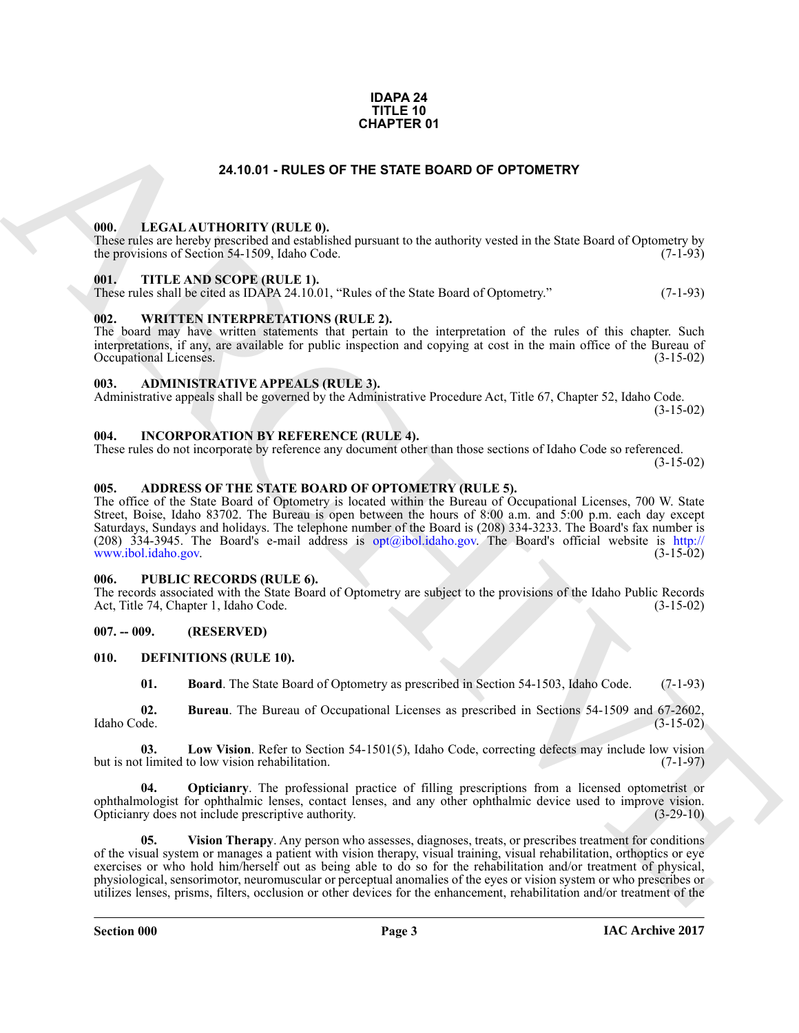#### **IDAPA 24 TITLE 10 CHAPTER 01**

#### **24.10.01 - RULES OF THE STATE BOARD OF OPTOMETRY**

#### <span id="page-2-1"></span><span id="page-2-0"></span>**000. LEGAL AUTHORITY (RULE 0).**

These rules are hereby prescribed and established pursuant to the authority vested in the State Board of Optometry by the provisions of Section 54-1509, Idaho Code. (7-1-93) the provisions of Section 54-1509, Idaho Code.

#### <span id="page-2-2"></span>**001. TITLE AND SCOPE (RULE 1).**

These rules shall be cited as IDAPA 24.10.01, "Rules of the State Board of Optometry." (7-1-93)

#### <span id="page-2-3"></span>**002. WRITTEN INTERPRETATIONS (RULE 2).**

The board may have written statements that pertain to the interpretation of the rules of this chapter. Such interpretations, if any, are available for public inspection and copying at cost in the main office of the Bureau of Occupational Licenses. (3-15-02) Occupational Licenses.

#### <span id="page-2-4"></span>**003. ADMINISTRATIVE APPEALS (RULE 3).**

Administrative appeals shall be governed by the Administrative Procedure Act, Title 67, Chapter 52, Idaho Code.  $(3-15-02)$ 

<span id="page-2-5"></span>**004. INCORPORATION BY REFERENCE (RULE 4).**

These rules do not incorporate by reference any document other than those sections of Idaho Code so referenced. (3-15-02)

### <span id="page-2-6"></span>**005. ADDRESS OF THE STATE BOARD OF OPTOMETRY (RULE 5).**

**24.10.01 - RULES OF THE STATE BOARD OF OPTOMETRY**<br> **[CH](mailto:opt@ibol.idaho.gov)ARCHIVE COMPARTION (RULES)**<br> **CHARCHIVE COMPARTIES AND ASSESS OF THE STATE BOARD OF OPTOMETRY**<br>
THE ARCHIVE SCOTISTIC TIP (1997)<br> **CHARCHIVE COMPARTIES AND SCOTISTIC** The office of the State Board of Optometry is located within the Bureau of Occupational Licenses, 700 W. State Street, Boise, Idaho 83702. The Bureau is open between the hours of 8:00 a.m. and 5:00 p.m. each day except Saturdays, Sundays and holidays. The telephone number of the Board is (208) 334-3233. The Board's fax number is (208)  $334-3945$ . The Board's e-mail address is opt@ibol.idaho.gov. The Board's official website is http://<br>www.ibol.idaho.gov. (3-15-02) www.ibol.idaho.gov.

#### <span id="page-2-7"></span>**006. PUBLIC RECORDS (RULE 6).**

The records associated with the State Board of Optometry are subject to the provisions of the Idaho Public Records<br>Act, Title 74, Chapter 1, Idaho Code. (3-15-02) Act, Title 74, Chapter 1, Idaho Code.

#### <span id="page-2-8"></span>**007. -- 009. (RESERVED)**

#### <span id="page-2-9"></span>**010. DEFINITIONS (RULE 10).**

<span id="page-2-13"></span><span id="page-2-12"></span><span id="page-2-11"></span><span id="page-2-10"></span>**01. Board**. The State Board of Optometry as prescribed in Section 54-1503, Idaho Code. (7-1-93)

**02.** Bureau. The Bureau of Occupational Licenses as prescribed in Sections 54-1509 and 67-2602, Idaho Code. (3-15-02) Idaho Code. (3-15-02)

**03.** Low Vision. Refer to Section 54-1501(5), Idaho Code, correcting defects may include low vision thinited to low vision rehabilitation. (7-1-97) but is not limited to low vision rehabilitation.

<span id="page-2-14"></span>**04. Opticianry**. The professional practice of filling prescriptions from a licensed optometrist or ophthalmologist for ophthalmic lenses, contact lenses, and any other ophthalmic device used to improve vision. Opticianry does not include prescriptive authority. (3-29-10)

<span id="page-2-15"></span>**05. Vision Therapy**. Any person who assesses, diagnoses, treats, or prescribes treatment for conditions of the visual system or manages a patient with vision therapy, visual training, visual rehabilitation, orthoptics or eye exercises or who hold him/herself out as being able to do so for the rehabilitation and/or treatment of physical, physiological, sensorimotor, neuromuscular or perceptual anomalies of the eyes or vision system or who prescribes or utilizes lenses, prisms, filters, occlusion or other devices for the enhancement, rehabilitation and/or treatment of the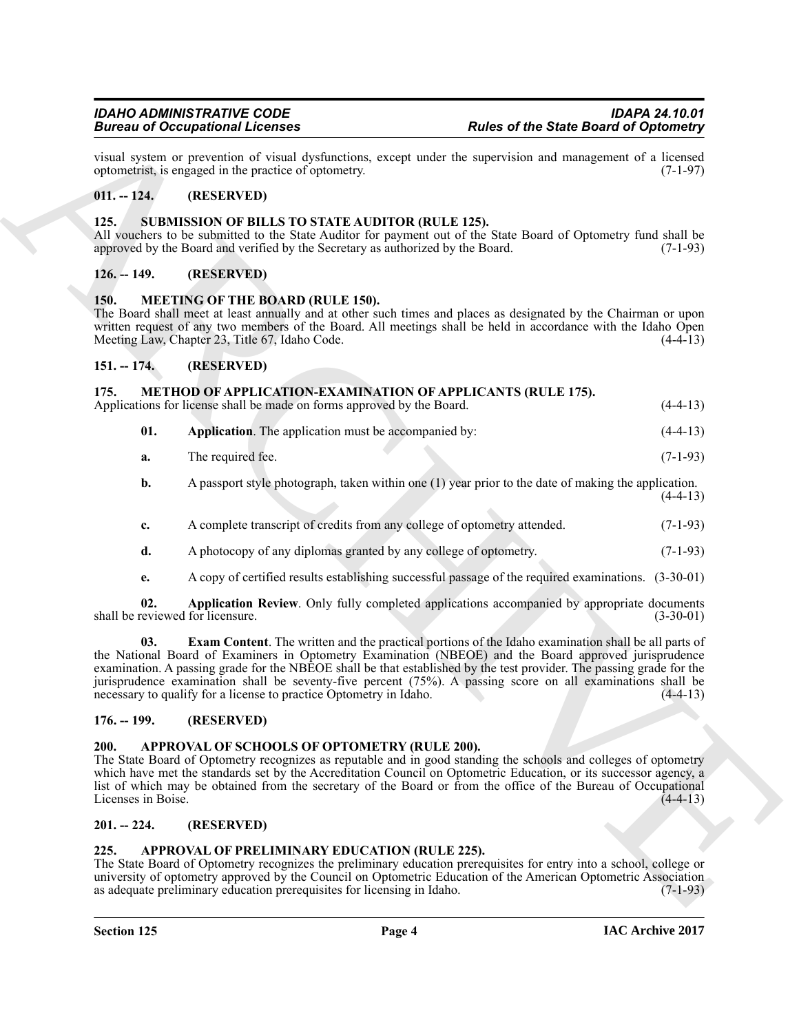#### <span id="page-3-0"></span>**011. -- 124. (RESERVED)**

#### <span id="page-3-17"></span><span id="page-3-1"></span>**125. SUBMISSION OF BILLS TO STATE AUDITOR (RULE 125).**

#### <span id="page-3-2"></span>**126. -- 149. (RESERVED)**

#### <span id="page-3-12"></span><span id="page-3-3"></span>**150. MEETING OF THE BOARD (RULE 150).**

#### <span id="page-3-14"></span><span id="page-3-13"></span><span id="page-3-5"></span><span id="page-3-4"></span>**151. -- 174. (RESERVED)**

|                            |     | <b>Bureau of Occupational Licenses</b>                                                                                                                                                                                                                                                                                                                                                                             | <b>Rules of the State Board of Optometry</b>                                                                |             |
|----------------------------|-----|--------------------------------------------------------------------------------------------------------------------------------------------------------------------------------------------------------------------------------------------------------------------------------------------------------------------------------------------------------------------------------------------------------------------|-------------------------------------------------------------------------------------------------------------|-------------|
|                            |     | visual system or prevention of visual dysfunctions, except under the supervision and management of a licensed<br>optometrist, is engaged in the practice of optometry.                                                                                                                                                                                                                                             |                                                                                                             | $(7-1-97)$  |
| $011. - 124.$              |     | (RESERVED)                                                                                                                                                                                                                                                                                                                                                                                                         |                                                                                                             |             |
| 125.                       |     | SUBMISSION OF BILLS TO STATE AUDITOR (RULE 125).<br>All vouchers to be submitted to the State Auditor for payment out of the State Board of Optometry fund shall be<br>approved by the Board and verified by the Secretary as authorized by the Board.                                                                                                                                                             |                                                                                                             | $(7-1-93)$  |
| $126. - 149.$              |     | (RESERVED)                                                                                                                                                                                                                                                                                                                                                                                                         |                                                                                                             |             |
| <b>150.</b>                |     | <b>MEETING OF THE BOARD (RULE 150).</b><br>The Board shall meet at least annually and at other such times and places as designated by the Chairman or upon<br>written request of any two members of the Board. All meetings shall be held in accordance with the Idaho Open<br>Meeting Law, Chapter 23, Title 67, Idaho Code.                                                                                      |                                                                                                             | $(4-4-13)$  |
| $151. - 174.$              |     | (RESERVED)                                                                                                                                                                                                                                                                                                                                                                                                         |                                                                                                             |             |
| 175.                       |     | <b>METHOD OF APPLICATION-EXAMINATION OF APPLICANTS (RULE 175).</b><br>Applications for license shall be made on forms approved by the Board.                                                                                                                                                                                                                                                                       |                                                                                                             | $(4-4-13)$  |
|                            | 01. | Application. The application must be accompanied by:                                                                                                                                                                                                                                                                                                                                                               |                                                                                                             | $(4-4-13)$  |
|                            | a.  | The required fee.                                                                                                                                                                                                                                                                                                                                                                                                  |                                                                                                             | $(7-1-93)$  |
|                            | b.  |                                                                                                                                                                                                                                                                                                                                                                                                                    | A passport style photograph, taken within one $(1)$ year prior to the date of making the application.       | $(4-4-13)$  |
|                            | c.  | A complete transcript of credits from any college of optometry attended.                                                                                                                                                                                                                                                                                                                                           |                                                                                                             | $(7-1-93)$  |
|                            | d.  | A photocopy of any diplomas granted by any college of optometry.                                                                                                                                                                                                                                                                                                                                                   |                                                                                                             | $(7-1-93)$  |
|                            | e.  |                                                                                                                                                                                                                                                                                                                                                                                                                    | A copy of certified results establishing successful passage of the required examinations. (3-30-01)         |             |
|                            | 02. | shall be reviewed for licensure.                                                                                                                                                                                                                                                                                                                                                                                   | Application Review. Only fully completed applications accompanied by appropriate documents                  | $(3-30-01)$ |
|                            | 03. | the National Board of Examiners in Optometry Examination (NBEOE) and the Board approved jurisprudence<br>examination. A passing grade for the NBEOE shall be that established by the test provider. The passing grade for the<br>jurisprudence examination shall be seventy-five percent (75%). A passing score on all examinations shall be<br>necessary to qualify for a license to practice Optometry in Idaho. | <b>Exam Content</b> . The written and the practical portions of the Idaho examination shall be all parts of | $(4-4-13)$  |
| $176. - 199.$              |     | (RESERVED)                                                                                                                                                                                                                                                                                                                                                                                                         |                                                                                                             |             |
| 200.<br>Licenses in Boise. |     | APPROVAL OF SCHOOLS OF OPTOMETRY (RULE 200).<br>The State Board of Optometry recognizes as reputable and in good standing the schools and colleges of optometry<br>which have met the standards set by the Accreditation Council on Optometric Education, or its successor agency, a<br>list of which may be obtained from the secretary of the Board or from the office of the Bureau of Occupational             |                                                                                                             | $(4-4-13)$  |
| $201. - 224.$              |     | (RESERVED)                                                                                                                                                                                                                                                                                                                                                                                                         |                                                                                                             |             |
| 225.                       |     | APPROVAL OF PRELIMINARY EDUCATION (RULE 225).<br>The State Board of Optometry recognizes the preliminary education prerequisites for entry into a school, college or<br>university of optometry approved by the Council on Optometric Education of the American Optometric Association<br>as adequate preliminary education prerequisites for licensing in Idaho.                                                  |                                                                                                             | $(7-1-93)$  |
|                            |     |                                                                                                                                                                                                                                                                                                                                                                                                                    |                                                                                                             |             |

### <span id="page-3-16"></span><span id="page-3-15"></span><span id="page-3-6"></span>**176. -- 199. (RESERVED)**

### <span id="page-3-11"></span><span id="page-3-7"></span>**200. APPROVAL OF SCHOOLS OF OPTOMETRY (RULE 200).**

#### <span id="page-3-8"></span>**201. -- 224. (RESERVED)**

#### <span id="page-3-10"></span><span id="page-3-9"></span>**225. APPROVAL OF PRELIMINARY EDUCATION (RULE 225).**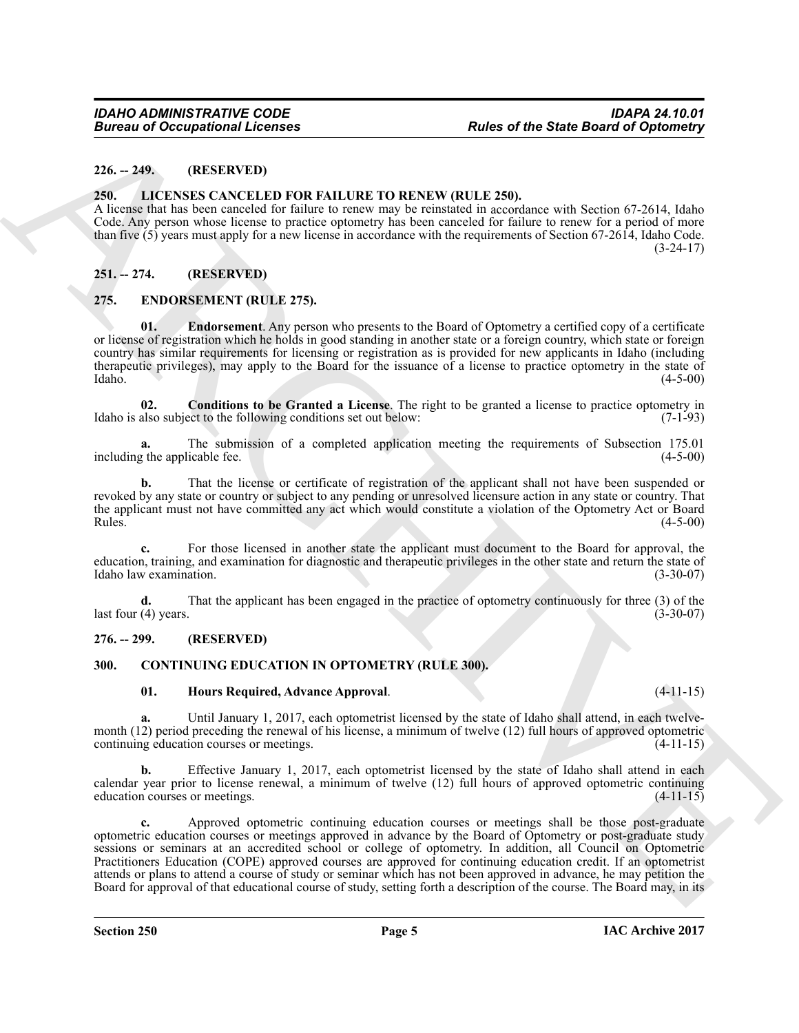#### <span id="page-4-0"></span>**226. -- 249. (RESERVED)**

#### <span id="page-4-11"></span><span id="page-4-1"></span>**250. LICENSES CANCELED FOR FAILURE TO RENEW (RULE 250).**

A license that has been canceled for failure to renew may be reinstated in accordance with Section 67-2614, Idaho Code. Any person whose license to practice optometry has been canceled for failure to renew for a period of more than five  $(5)$  years must apply for a new license in accordance with the requirements of Section 67-2614, Idaho Code.  $(3-24-17)$ 

### <span id="page-4-2"></span>**251. -- 274. (RESERVED)**

#### <span id="page-4-8"></span><span id="page-4-3"></span>**275. ENDORSEMENT (RULE 275).**

<span id="page-4-10"></span>**01. Endorsement**. Any person who presents to the Board of Optometry a certified copy of a certificate or license of registration which he holds in good standing in another state or a foreign country, which state or foreign country has similar requirements for licensing or registration as is provided for new applicants in Idaho (including therapeutic privileges), may apply to the Board for the issuance of a license to practice optometry in the state of Idaho. (4-5-00)  $\lambda$ Idaho. (4-5-00)

<span id="page-4-9"></span>**02. Conditions to be Granted a License**. The right to be granted a license to practice optometry in also subject to the following conditions set out below: (7-1-93) Idaho is also subject to the following conditions set out below:

**a.** The submission of a completed application meeting the requirements of Subsection 175.01 represents the applicable fee. (4-5-00) including the applicable fee.

**b.** That the license or certificate of registration of the applicant shall not have been suspended or revoked by any state or country or subject to any pending or unresolved licensure action in any state or country. That the applicant must not have committed any act which would constitute a violation of the Optometry Act or Board<br>Rules. (4-5-00) Rules.  $(4-5-00)$ 

For those licensed in another state the applicant must document to the Board for approval, the education, training, and examination for diagnostic and therapeutic privileges in the other state and return the state of Idaho law examination. (3-30-07) Idaho law examination.

**d.** That the applicant has been engaged in the practice of optometry continuously for three (3) of the (4) years. (3-30-07) last four  $(4)$  years.

#### <span id="page-4-4"></span>**276. -- 299. (RESERVED)**

#### <span id="page-4-5"></span>**300. CONTINUING EDUCATION IN OPTOMETRY (RULE 300).**

#### <span id="page-4-7"></span><span id="page-4-6"></span>**01. Hours Required, Advance Approval**. (4-11-15)

**a.** Until January 1, 2017, each optometrist licensed by the state of Idaho shall attend, in each twelvemonth (12) period preceding the renewal of his license, a minimum of twelve (12) full hours of approved optometric continuing education courses or meetings. continuing education courses or meetings.

**b.** Effective January 1, 2017, each optometrist licensed by the state of Idaho shall attend in each calendar year prior to license renewal, a minimum of twelve  $(12)$  full hours of approved optometric continuing education courses or meetings.  $(4-11-15)$ education courses or meetings.

**Euros of Occupational Licenses**<br>
26. 20. **EUROS CANCILLE POR EXALUATE TO RENEW (RULE 251).**<br>
26. 26. **EUROS CANCILLE POR EXALUATE TO RENEW (RULE 251).**<br>
ARCHIVE SCANDING TO RENEW TO RENEW (RULE 251).<br>
A LOCAL SCAND CAN C **c.** Approved optometric continuing education courses or meetings shall be those post-graduate optometric education courses or meetings approved in advance by the Board of Optometry or post-graduate study sessions or seminars at an accredited school or college of optometry. In addition, all Council on Optometric Practitioners Education (COPE) approved courses are approved for continuing education credit. If an optometrist attends or plans to attend a course of study or seminar which has not been approved in advance, he may petition the Board for approval of that educational course of study, setting forth a description of the course. The Board may, in its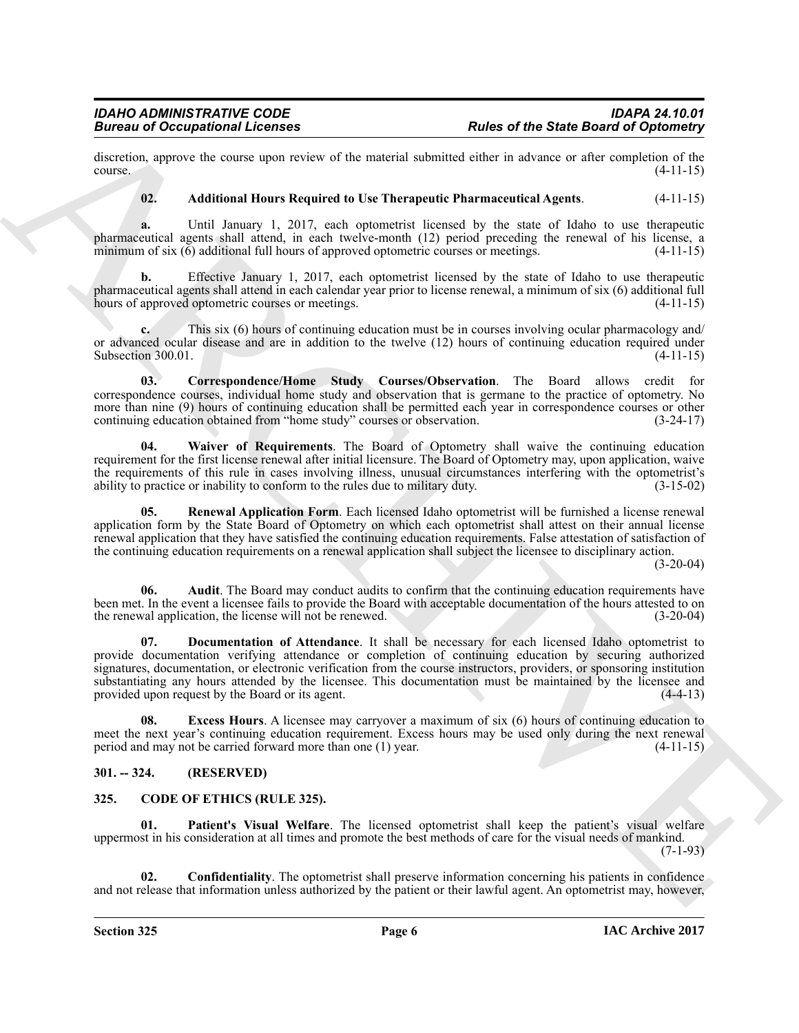discretion, approve the course upon review of the material submitted either in advance or after completion of the course. (4-11-15)  $\frac{1}{4}$  (4-11-15)

#### <span id="page-5-5"></span>**02. Additional Hours Required to Use Therapeutic Pharmaceutical Agents**. (4-11-15)

**a.** Until January 1, 2017, each optometrist licensed by the state of Idaho to use therapeutic pharmaceutical agents shall attend, in each twelve-month (12) period preceding the renewal of his license, a minimum of six (6) additional full hours of approved optometric courses or meetings. (4-11-15) minimum of six  $(6)$  additional full hours of approved optometric courses or meetings.

**b.** Effective January 1, 2017, each optometrist licensed by the state of Idaho to use therapeutic pharmaceutical agents shall attend in each calendar year prior to license renewal, a minimum of six (6) additional full hours of approved optometric courses or meetings.

**c.** This six (6) hours of continuing education must be in courses involving ocular pharmacology and/ or advanced ocular disease and are in addition to the twelve (12) hours of continuing education required under<br>Subsection 300.01. (4-11-15) Subsection 300.01.

<span id="page-5-7"></span>**03. Correspondence/Home Study Courses/Observation**. The Board allows credit for correspondence courses, individual home study and observation that is germane to the practice of optometry. No more than nine (9) hours of continuing education shall be permitted each year in correspondence courses or other continuing education obtained from "home study" courses or observation. (3-24-17) continuing education obtained from "home study" courses or observation.

<span id="page-5-11"></span>**04. Waiver of Requirements**. The Board of Optometry shall waive the continuing education requirement for the first license renewal after initial licensure. The Board of Optometry may, upon application, waive the requirements of this rule in cases involving illness, unusual circumstances interfering with the optometrist's ability to practice or inability to conform to the rules due to military duty.  $(3-15-02)$ ability to practice or inability to conform to the rules due to military duty.

<span id="page-5-10"></span>**05. Renewal Application Form**. Each licensed Idaho optometrist will be furnished a license renewal application form by the State Board of Optometry on which each optometrist shall attest on their annual license renewal application that they have satisfied the continuing education requirements. False attestation of satisfaction of the continuing education requirements on a renewal application shall subject the licensee to disciplinary action.

 $(3-20-04)$ 

<span id="page-5-8"></span><span id="page-5-6"></span>**06.** Audit. The Board may conduct audits to confirm that the continuing education requirements have been met. In the event a licensee fails to provide the Board with acceptable documentation of the hours attested to on the renewal application, the license will not be renewed. (3-20-04) the renewal application, the license will not be renewed.

Brainers of Occupational Licensies<br>
distributed by the state of the State Brainers of Consider and State and State and State and State Consider and State<br>
developed the state of the state and state and state and state and **07. Documentation of Attendance**. It shall be necessary for each licensed Idaho optometrist to provide documentation verifying attendance or completion of continuing education by securing authorized signatures, documentation, or electronic verification from the course instructors, providers, or sponsoring institution substantiating any hours attended by the licensee. This documentation must be maintained by the licensee and provided upon request by the Board or its agent. (4-4-13) provided upon request by the Board or its agent.

<span id="page-5-9"></span>**08.** Excess Hours. A licensee may carryover a maximum of six (6) hours of continuing education to meet the next year's continuing education requirement. Excess hours may be used only during the next renewal period and may not be carried forward more than one (1) year. (4-11-15) period and may not be carried forward more than one  $(1)$  year.

### <span id="page-5-0"></span>**301. -- 324. (RESERVED)**

### <span id="page-5-2"></span><span id="page-5-1"></span>**325. CODE OF ETHICS (RULE 325).**

<span id="page-5-4"></span>**Patient's Visual Welfare**. The licensed optometrist shall keep the patient's visual welfare uppermost in his consideration at all times and promote the best methods of care for the visual needs of mankind.  $(7-1-93)$ 

<span id="page-5-3"></span>**02. Confidentiality**. The optometrist shall preserve information concerning his patients in confidence and not release that information unless authorized by the patient or their lawful agent. An optometrist may, however,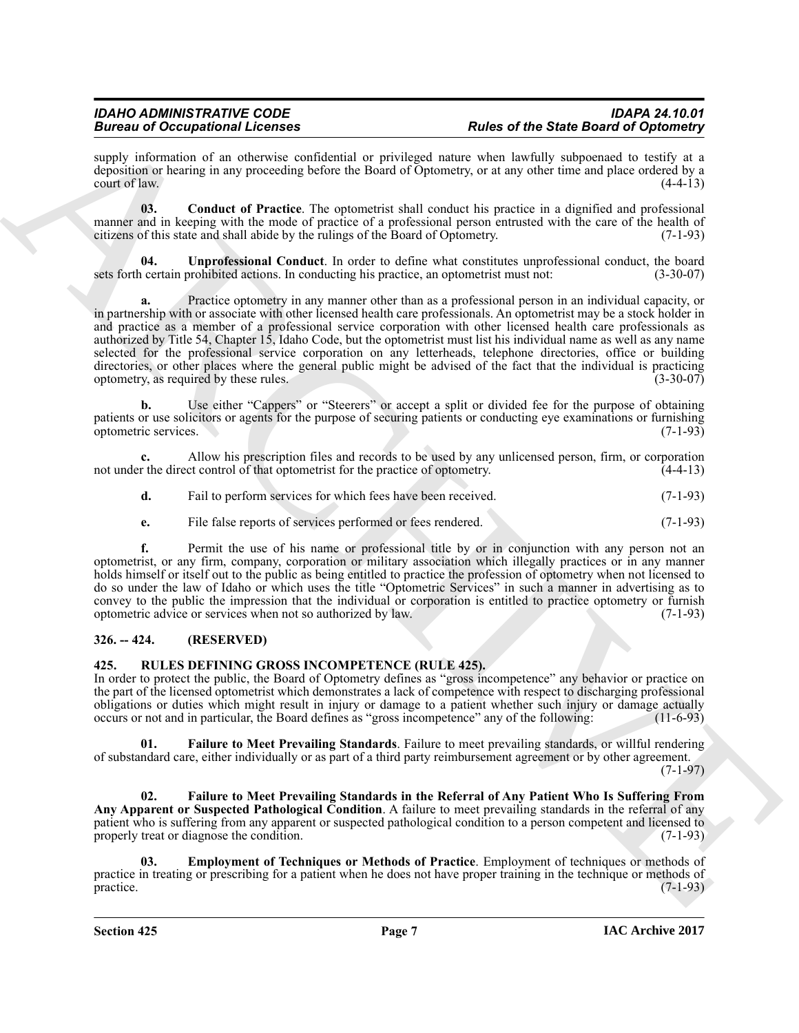supply information of an otherwise confidential or privileged nature when lawfully subpoenaed to testify at a deposition or hearing in any proceeding before the Board of Optometry, or at any other time and place ordered by a court of law.  $(4-4-13)$ 

<span id="page-6-2"></span>**03. Conduct of Practice**. The optometrist shall conduct his practice in a dignified and professional manner and in keeping with the mode of practice of a professional person entrusted with the care of the health of citizens of this state and shall abide by the rulings of the Board of Optometry. (7-1-93) citizens of this state and shall abide by the rulings of the Board of Optometry.

<span id="page-6-3"></span>**04. Unprofessional Conduct**. In order to define what constitutes unprofessional conduct, the board certain prohibited actions. In conducting his practice, an optometrist must not: (3-30-07) sets forth certain prohibited actions. In conducting his practice, an optometrist must not:

Brain and because considerations of the three of the Sherica energy and the state of Optimization of the Chinach Consideration of the Chinach Chinach Chinach Chinach Chinach Chinach Chinach Chinach Chinach Chinach Chinach **a.** Practice optometry in any manner other than as a professional person in an individual capacity, or in partnership with or associate with other licensed health care professionals. An optometrist may be a stock holder in and practice as a member of a professional service corporation with other licensed health care professionals as authorized by Title 54, Chapter 15, Idaho Code, but the optometrist must list his individual name as well as any name selected for the professional service corporation on any letterheads, telephone directories, office or building directories, or other places where the general public might be advised of the fact that the individual is practicing optometry, as required by these rules. (3-30-07) optometry, as required by these rules.

**b.** Use either "Cappers" or "Steerers" or accept a split or divided fee for the purpose of obtaining patients or use solicitors or agents for the purpose of securing patients or conducting eye examinations or furnishing optometric services. (7-1-93) optometric services.

**c.** Allow his prescription files and records to be used by any unlicensed person, firm, or corporation not under the direct control of that optometrist for the practice of optometry. (4-4-13)

|  | Fail to perform services for which fees have been received. | $(7-1-93)$ |
|--|-------------------------------------------------------------|------------|
|--|-------------------------------------------------------------|------------|

**e.** File false reports of services performed or fees rendered. (7-1-93)

**f.** Permit the use of his name or professional title by or in conjunction with any person not an optometrist, or any firm, company, corporation or military association which illegally practices or in any manner holds himself or itself out to the public as being entitled to practice the profession of optometry when not licensed to do so under the law of Idaho or which uses the title "Optometric Services" in such a manner in advertising as to convey to the public the impression that the individual or corporation is entitled to practice optometry or furnish optometric advice or services when not so authorized by law. (7-1-93)

### <span id="page-6-0"></span>**326. -- 424. (RESERVED)**

### <span id="page-6-4"></span><span id="page-6-1"></span>**425. RULES DEFINING GROSS INCOMPETENCE (RULE 425).**

In order to protect the public, the Board of Optometry defines as "gross incompetence" any behavior or practice on the part of the licensed optometrist which demonstrates a lack of competence with respect to discharging professional obligations or duties which might result in injury or damage to a patient whether such injury or damage actually occurs or not and in particular, the Board defines as "gross incompetence" any of the following: (11-6-93) occurs or not and in particular, the Board defines as "gross incompetence" any of the following:

<span id="page-6-6"></span>**01. Failure to Meet Prevailing Standards**. Failure to meet prevailing standards, or willful rendering of substandard care, either individually or as part of a third party reimbursement agreement or by other agreement.

 $(7-1-97)$ 

<span id="page-6-7"></span>**02. Failure to Meet Prevailing Standards in the Referral of Any Patient Who Is Suffering From Any Apparent or Suspected Pathological Condition**. A failure to meet prevailing standards in the referral of any patient who is suffering from any apparent or suspected pathological condition to a person competent and licensed to properly treat or diagnose the condition. (7-1-93) properly treat or diagnose the condition.

<span id="page-6-5"></span>**03. Employment of Techniques or Methods of Practice**. Employment of techniques or methods of practice in treating or prescribing for a patient when he does not have proper training in the technique or methods of practice. (7-1-93)  $practive.$  (7-1-93)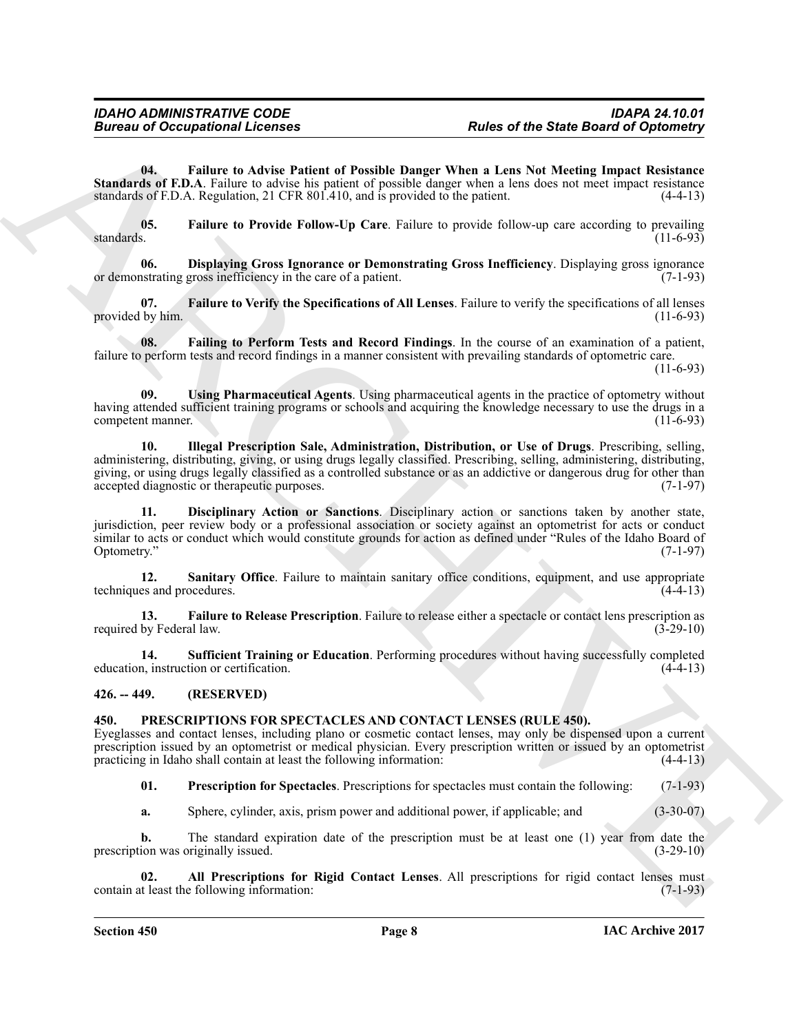<span id="page-7-8"></span>**04. Failure to Advise Patient of Possible Danger When a Lens Not Meeting Impact Resistance Standards of F.D.A**. Failure to advise his patient of possible danger when a lens does not meet impact resistance standards of F.D.A. Regulation, 21 CFR 801.410, and is provided to the patient. (4-4-13) standards of F.D.A. Regulation, 21 CFR  $801.410$ , and is provided to the patient.

<span id="page-7-9"></span>**05.** Failure to Provide Follow-Up Care. Failure to provide follow-up care according to prevailing standards. (11-6-93) standards. (11-6-93)

<span id="page-7-6"></span>**06. Displaying Gross Ignorance or Demonstrating Gross Inefficiency**. Displaying gross ignorance or demonstrating gross inefficiency in the care of a patient.

<span id="page-7-11"></span>**07. Failure to Verify the Specifications of All Lenses**. Failure to verify the specifications of all lenses provided by him.

<span id="page-7-7"></span>**08. Failing to Perform Tests and Record Findings**. In the course of an examination of a patient, failure to perform tests and record findings in a manner consistent with prevailing standards of optometric care.

(11-6-93)

<span id="page-7-15"></span><span id="page-7-12"></span>**09. Using Pharmaceutical Agents**. Using pharmaceutical agents in the practice of optometry without having attended sufficient training programs or schools and acquiring the knowledge necessary to use the drugs in a<br>(11-6-93) competent manner.

**Eurosis of Occupational Licensies**<br> **Eurosis of the State of Possible Durant with sales of the State Occupations**<br> **State of the Matter behavior in the State of Possible Durant with a tent state of the Matter Internet Eu 10. Illegal Prescription Sale, Administration, Distribution, or Use of Drugs**. Prescribing, selling, administering, distributing, giving, or using drugs legally classified. Prescribing, selling, administering, distributing, giving, or using drugs legally classified as a controlled substance or as an addictive or dangerous drug for other than accepted diagnostic or therapeutic purposes. (7-1-97) accepted diagnostic or therapeutic purposes.

<span id="page-7-5"></span>**11. Disciplinary Action or Sanctions**. Disciplinary action or sanctions taken by another state, jurisdiction, peer review body or a professional association or society against an optometrist for acts or conduct similar to acts or conduct which would constitute grounds for action as defined under "Rules of the Idaho Board of Optometry." (7-1-97) Optometry." (7-1-97)

<span id="page-7-13"></span>**12.** Sanitary Office. Failure to maintain sanitary office conditions, equipment, and use appropriate es and procedures. (4-4-13) techniques and procedures.

<span id="page-7-10"></span>**13. Failure to Release Prescription**. Failure to release either a spectacle or contact lens prescription as by Federal law. (3-29-10) required by Federal law.

<span id="page-7-14"></span>**14. Sufficient Training or Education**. Performing procedures without having successfully completed education, instruction or certification.

<span id="page-7-0"></span>**426. -- 449. (RESERVED)**

#### <span id="page-7-2"></span><span id="page-7-1"></span>**450. PRESCRIPTIONS FOR SPECTACLES AND CONTACT LENSES (RULE 450).**

Eyeglasses and contact lenses, including plano or cosmetic contact lenses, may only be dispensed upon a current prescription issued by an optometrist or medical physician. Every prescription written or issued by an optometrist practicing in Idaho shall contain at least the following information: (4-4-13)

<span id="page-7-4"></span>**01. Prescription for Spectacles**. Prescriptions for spectacles must contain the following: (7-1-93)

<span id="page-7-3"></span>**a.** Sphere, cylinder, axis, prism power and additional power, if applicable; and (3-30-07)

**b.** The standard expiration date of the prescription must be at least one (1) year from date the ion was originally issued. (3-29-10) prescription was originally issued.

**02. All Prescriptions for Rigid Contact Lenses**. All prescriptions for rigid contact lenses must contain at least the following information: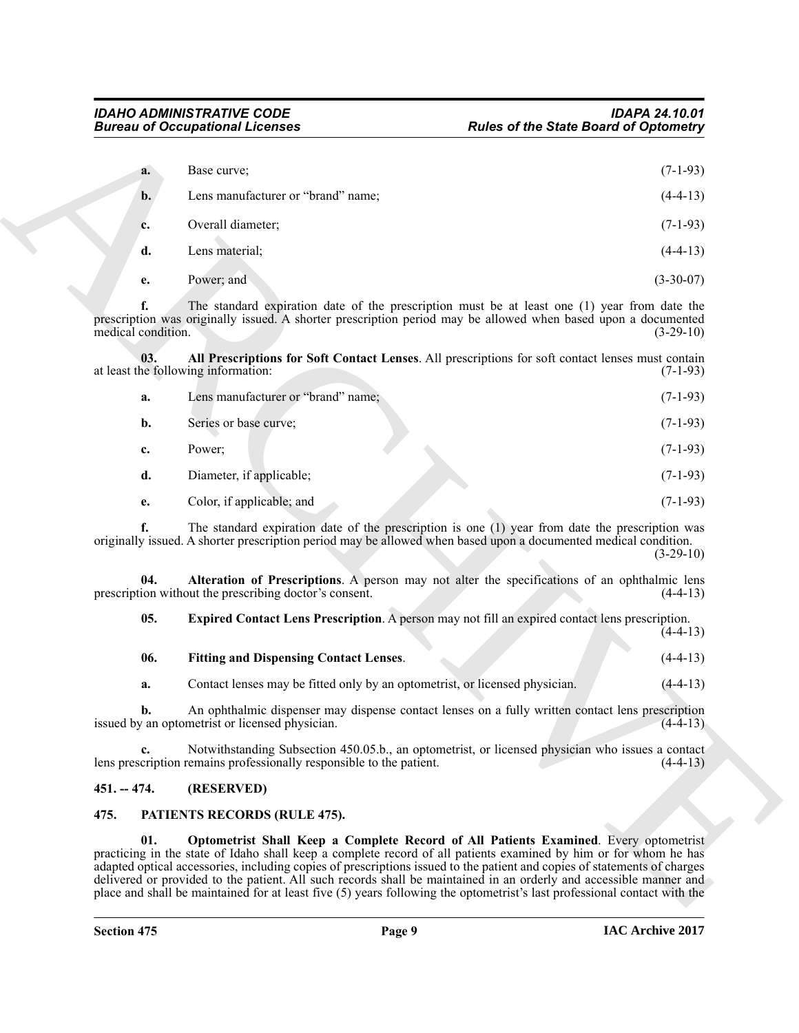<span id="page-8-4"></span>

| a. | Base curve:                        | $(7-1-93)$  |
|----|------------------------------------|-------------|
| b. | Lens manufacturer or "brand" name; | $(4-4-13)$  |
| c. | Overall diameter;                  | $(7-1-93)$  |
| d. | Lens material;                     | $(4-4-13)$  |
| e. | Power; and                         | $(3-30-07)$ |

|                          | <b>Bureau of Occupational Licenses</b>                                      | <b>Rules of the State Board of Optometry</b>                                                                                                                                                                                                                                                                                                                                                                                                                                                                                                                                           |
|--------------------------|-----------------------------------------------------------------------------|----------------------------------------------------------------------------------------------------------------------------------------------------------------------------------------------------------------------------------------------------------------------------------------------------------------------------------------------------------------------------------------------------------------------------------------------------------------------------------------------------------------------------------------------------------------------------------------|
| a.                       | Base curve;                                                                 | $(7-1-93)$                                                                                                                                                                                                                                                                                                                                                                                                                                                                                                                                                                             |
| b.                       | Lens manufacturer or "brand" name;                                          | $(4-4-13)$                                                                                                                                                                                                                                                                                                                                                                                                                                                                                                                                                                             |
| c.                       | Overall diameter;                                                           | $(7-1-93)$                                                                                                                                                                                                                                                                                                                                                                                                                                                                                                                                                                             |
| d.                       | Lens material;                                                              | $(4-4-13)$                                                                                                                                                                                                                                                                                                                                                                                                                                                                                                                                                                             |
| e.                       | Power; and                                                                  | $(3-30-07)$                                                                                                                                                                                                                                                                                                                                                                                                                                                                                                                                                                            |
| f.<br>medical condition. |                                                                             | The standard expiration date of the prescription must be at least one (1) year from date the<br>prescription was originally issued. A shorter prescription period may be allowed when based upon a documented<br>$(3-29-10)$                                                                                                                                                                                                                                                                                                                                                           |
| 03.                      | at least the following information:                                         | All Prescriptions for Soft Contact Lenses. All prescriptions for soft contact lenses must contain<br>$(7-1-93)$                                                                                                                                                                                                                                                                                                                                                                                                                                                                        |
| a.                       | Lens manufacturer or "brand" name;                                          | $(7-1-93)$                                                                                                                                                                                                                                                                                                                                                                                                                                                                                                                                                                             |
| $\mathbf{b}$ .           | Series or base curve;                                                       | $(7-1-93)$                                                                                                                                                                                                                                                                                                                                                                                                                                                                                                                                                                             |
| c.                       | Power;                                                                      | $(7-1-93)$                                                                                                                                                                                                                                                                                                                                                                                                                                                                                                                                                                             |
| d.                       | Diameter, if applicable;                                                    | $(7-1-93)$                                                                                                                                                                                                                                                                                                                                                                                                                                                                                                                                                                             |
| e.                       | Color, if applicable; and                                                   | $(7-1-93)$                                                                                                                                                                                                                                                                                                                                                                                                                                                                                                                                                                             |
|                          |                                                                             | The standard expiration date of the prescription is one (1) year from date the prescription was<br>originally issued. A shorter prescription period may be allowed when based upon a documented medical condition.<br>$(3-29-10)$                                                                                                                                                                                                                                                                                                                                                      |
| 04.                      | prescription without the prescribing doctor's consent.                      | Alteration of Prescriptions. A person may not alter the specifications of an ophthalmic lens<br>$(4-4-13)$                                                                                                                                                                                                                                                                                                                                                                                                                                                                             |
| 05.                      |                                                                             | Expired Contact Lens Prescription. A person may not fill an expired contact lens prescription.<br>$(4-4-13)$                                                                                                                                                                                                                                                                                                                                                                                                                                                                           |
| 06.                      | <b>Fitting and Dispensing Contact Lenses.</b>                               | $(4-4-13)$                                                                                                                                                                                                                                                                                                                                                                                                                                                                                                                                                                             |
| a.                       | Contact lenses may be fitted only by an optometrist, or licensed physician. | $(4-4-13)$                                                                                                                                                                                                                                                                                                                                                                                                                                                                                                                                                                             |
| b.                       | issued by an optometrist or licensed physician.                             | An ophthalmic dispenser may dispense contact lenses on a fully written contact lens prescription<br>$(4-4-13)$                                                                                                                                                                                                                                                                                                                                                                                                                                                                         |
|                          | lens prescription remains professionally responsible to the patient.        | Notwithstanding Subsection 450.05.b., an optometrist, or licensed physician who issues a contact<br>$(4-4-13)$                                                                                                                                                                                                                                                                                                                                                                                                                                                                         |
| $451. - 474.$            | (RESERVED)                                                                  |                                                                                                                                                                                                                                                                                                                                                                                                                                                                                                                                                                                        |
| 475.                     | PATIENTS RECORDS (RULE 475).                                                |                                                                                                                                                                                                                                                                                                                                                                                                                                                                                                                                                                                        |
| 01.                      |                                                                             | Optometrist Shall Keep a Complete Record of All Patients Examined. Every optometrist<br>practicing in the state of Idaho shall keep a complete record of all patients examined by him or for whom he has<br>adapted optical accessories, including copies of prescriptions issued to the patient and copies of statements of charges<br>delivered or provided to the patient. All such records shall be maintained in an orderly and accessible manner and<br>place and shall be maintained for at least five (5) years following the optometrist's last professional contact with the |

<span id="page-8-7"></span><span id="page-8-6"></span><span id="page-8-5"></span>

| <b>Fitting and Dispensing Contact Lenses.</b> |  | $(4-4-13)$ |
|-----------------------------------------------|--|------------|
|                                               |  |            |

### <span id="page-8-0"></span>**451. -- 474. (RESERVED)**

### <span id="page-8-3"></span><span id="page-8-2"></span><span id="page-8-1"></span>**475. PATIENTS RECORDS (RULE 475).**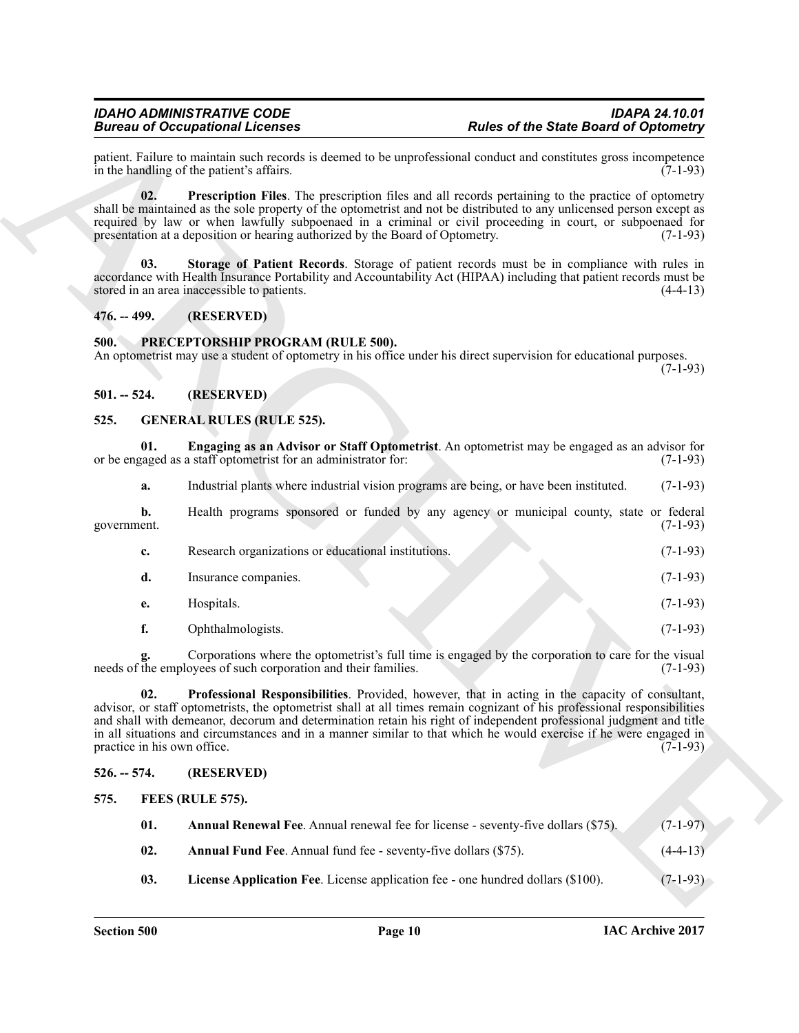#### <span id="page-9-14"></span><span id="page-9-13"></span><span id="page-9-0"></span>**476. -- 499. (RESERVED)**

#### <span id="page-9-15"></span><span id="page-9-1"></span>**500. PRECEPTORSHIP PROGRAM (RULE 500).**

#### <span id="page-9-2"></span>**501. -- 524. (RESERVED)**

#### <span id="page-9-11"></span><span id="page-9-10"></span><span id="page-9-3"></span>**525. GENERAL RULES (RULE 525).**

|                   | <b>Bureau of Occupational Licenses</b>                                        | <b>Rules of the State Board of Optometry</b>                                                                                                                                                                                                                                                                                                                                                                                                                           |            |
|-------------------|-------------------------------------------------------------------------------|------------------------------------------------------------------------------------------------------------------------------------------------------------------------------------------------------------------------------------------------------------------------------------------------------------------------------------------------------------------------------------------------------------------------------------------------------------------------|------------|
|                   | in the handling of the patient's affairs.                                     | patient. Failure to maintain such records is deemed to be unprofessional conduct and constitutes gross incompetence                                                                                                                                                                                                                                                                                                                                                    | $(7-1-93)$ |
| 02.               | presentation at a deposition or hearing authorized by the Board of Optometry. | <b>Prescription Files</b> . The prescription files and all records pertaining to the practice of optometry<br>shall be maintained as the sole property of the optometrist and not be distributed to any unlicensed person except as<br>required by law or when lawfully subpoenaed in a criminal or civil proceeding in court, or subpoenaed for                                                                                                                       | $(7-1-93)$ |
| 03.               | stored in an area inaccessible to patients.                                   | Storage of Patient Records. Storage of patient records must be in compliance with rules in<br>accordance with Health Insurance Portability and Accountability Act (HIPAA) including that patient records must be                                                                                                                                                                                                                                                       | $(4-4-13)$ |
| $476. - 499.$     | (RESERVED)                                                                    |                                                                                                                                                                                                                                                                                                                                                                                                                                                                        |            |
| 500.              | PRECEPTORSHIP PROGRAM (RULE 500).                                             | An optometrist may use a student of optometry in his office under his direct supervision for educational purposes.                                                                                                                                                                                                                                                                                                                                                     | $(7-1-93)$ |
| $501. - 524.$     | (RESERVED)                                                                    |                                                                                                                                                                                                                                                                                                                                                                                                                                                                        |            |
| 525.              | <b>GENERAL RULES (RULE 525).</b>                                              |                                                                                                                                                                                                                                                                                                                                                                                                                                                                        |            |
| 01.               | or be engaged as a staff optometrist for an administrator for:                | Engaging as an Advisor or Staff Optometrist. An optometrist may be engaged as an advisor for                                                                                                                                                                                                                                                                                                                                                                           | $(7-1-93)$ |
| a.                |                                                                               | Industrial plants where industrial vision programs are being, or have been instituted.                                                                                                                                                                                                                                                                                                                                                                                 | $(7-1-93)$ |
| b.<br>government. |                                                                               | Health programs sponsored or funded by any agency or municipal county, state or federal                                                                                                                                                                                                                                                                                                                                                                                | $(7-1-93)$ |
| c.                | Research organizations or educational institutions.                           |                                                                                                                                                                                                                                                                                                                                                                                                                                                                        | $(7-1-93)$ |
| d.                | Insurance companies.                                                          |                                                                                                                                                                                                                                                                                                                                                                                                                                                                        | $(7-1-93)$ |
| e.                | Hospitals.                                                                    |                                                                                                                                                                                                                                                                                                                                                                                                                                                                        | $(7-1-93)$ |
| f.                | Ophthalmologists.                                                             |                                                                                                                                                                                                                                                                                                                                                                                                                                                                        | $(7-1-93)$ |
|                   | needs of the employees of such corporation and their families.                | Corporations where the optometrist's full time is engaged by the corporation to care for the visual                                                                                                                                                                                                                                                                                                                                                                    | $(7-1-93)$ |
| 02.               | practice in his own office.                                                   | Professional Responsibilities. Provided, however, that in acting in the capacity of consultant,<br>advisor, or staff optometrists, the optometrist shall at all times remain cognizant of his professional responsibilities<br>and shall with demeanor, decorum and determination retain his right of independent professional judgment and title<br>in all situations and circumstances and in a manner similar to that which he would exercise if he were engaged in | $(7-1-93)$ |
| $526. - 574.$     | (RESERVED)                                                                    |                                                                                                                                                                                                                                                                                                                                                                                                                                                                        |            |
| 575.              | FEES (RULE 575).                                                              |                                                                                                                                                                                                                                                                                                                                                                                                                                                                        |            |
| 01.               |                                                                               | Annual Renewal Fee. Annual renewal fee for license - seventy-five dollars (\$75).                                                                                                                                                                                                                                                                                                                                                                                      | $(7-1-97)$ |
| 02.               | Annual Fund Fee. Annual fund fee - seventy-five dollars (\$75).               |                                                                                                                                                                                                                                                                                                                                                                                                                                                                        | $(4-4-13)$ |
|                   |                                                                               |                                                                                                                                                                                                                                                                                                                                                                                                                                                                        |            |

#### <span id="page-9-12"></span><span id="page-9-5"></span><span id="page-9-4"></span>**526. -- 574. (RESERVED)**

<span id="page-9-9"></span><span id="page-9-8"></span><span id="page-9-7"></span><span id="page-9-6"></span>

| -01. | <b>Annual Renewal Fee.</b> Annual renewal fee for license - seventy-five dollars (\$75). | $(7-1-97)$ |
|------|------------------------------------------------------------------------------------------|------------|
| 02.  | <b>Annual Fund Fee.</b> Annual fund fee - seventy-five dollars (\$75).                   | $(4-4-13)$ |
| 03.  | <b>License Application Fee.</b> License application fee - one hundred dollars (\$100).   | $(7-1-93)$ |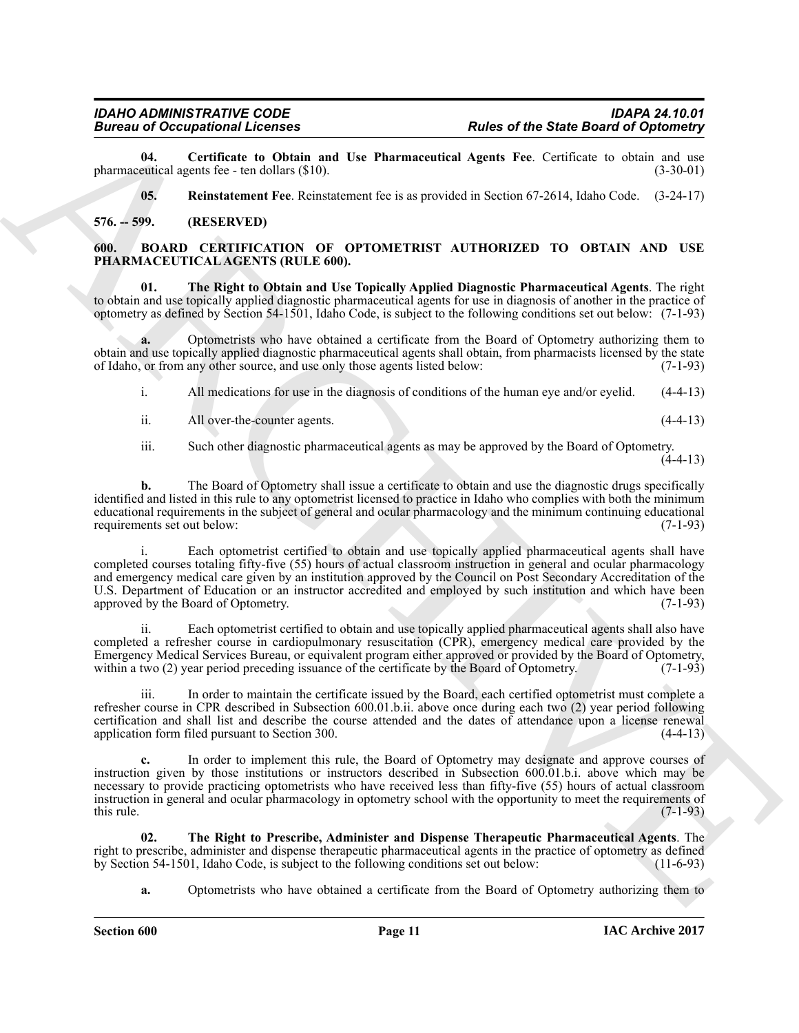**04. Certificate to Obtain and Use Pharmaceutical Agents Fee**. Certificate to obtain and use pharmaceutical agents fee - ten dollars  $(\$10)$ .

<span id="page-10-6"></span><span id="page-10-5"></span><span id="page-10-2"></span>**05. Reinstatement Fee**. Reinstatement fee is as provided in Section 67-2614, Idaho Code. (3-24-17)

#### <span id="page-10-0"></span>**576. -- 599. (RESERVED)**

#### <span id="page-10-1"></span>**600. BOARD CERTIFICATION OF OPTOMETRIST AUTHORIZED TO OBTAIN AND USE PHARMACEUTICAL AGENTS (RULE 600).**

<span id="page-10-3"></span>**01. The Right to Obtain and Use Topically Applied Diagnostic Pharmaceutical Agents**. The right to obtain and use topically applied diagnostic pharmaceutical agents for use in diagnosis of another in the practice of optometry as defined by Section 54-1501, Idaho Code, is subject to the following conditions set out below: (7-1-93)

**a.** Optometrists who have obtained a certificate from the Board of Optometry authorizing them to obtain and use topically applied diagnostic pharmaceutical agents shall obtain, from pharmacists licensed by the state of Idaho, or from any other source, and use only those agents listed below: (7-1-93) of Idaho, or from any other source, and use only those agents listed below:

i. All medications for use in the diagnosis of conditions of the human eye and/or eyelid. (4-4-13)

ii. All over-the-counter agents. (4-4-13)

iii. Such other diagnostic pharmaceutical agents as may be approved by the Board of Optometry.

 $(4-4-13)$ 

**b.** The Board of Optometry shall issue a certificate to obtain and use the diagnostic drugs specifically identified and listed in this rule to any optometrist licensed to practice in Idaho who complies with both the minimum educational requirements in the subject of general and ocular pharmacology and the minimum continuing educational requirements set out below: (7-1-93)

**Bureau of Consignment Licensis 4 Publish and Licensis 16 <b>Publish and Constrainers** publish and Constrainers and Constrainers and Constrainers and Constrainers and Constrainers and Constrainers and Constrainers and Con Each optometrist certified to obtain and use topically applied pharmaceutical agents shall have completed courses totaling fifty-five (55) hours of actual classroom instruction in general and ocular pharmacology and emergency medical care given by an institution approved by the Council on Post Secondary Accreditation of the U.S. Department of Education or an instructor accredited and employed by such institution and which have been approved by the Board of Optometry. (7-1-93) approved by the Board of Optometry.

Each optometrist certified to obtain and use topically applied pharmaceutical agents shall also have completed a refresher course in cardiopulmonary resuscitation (CPR), emergency medical care provided by the Emergency Medical Services Bureau, or equivalent program either approved or provided by the Board of Optometry, within a two (2) year period preceding issuance of the certificate by the Board of Optometry. (7-1-93) within a two (2) year period preceding issuance of the certificate by the Board of Optometry.

iii. In order to maintain the certificate issued by the Board, each certified optometrist must complete a refresher course in CPR described in Subsection 600.01.b.ii. above once during each two (2) year period following certification and shall list and describe the course attended and the dates of attendance upon a license renewal application form filed pursuant to Section 300.

**c.** In order to implement this rule, the Board of Optometry may designate and approve courses of instruction given by those institutions or instructors described in Subsection 600.01.b.i. above which may be necessary to provide practicing optometrists who have received less than fifty-five (55) hours of actual classroom instruction in general and ocular pharmacology in optometry school with the opportunity to meet the requirements of this rule. (7-1-93) this rule.  $(7-1-93)$ 

**02. The Right to Prescribe, Administer and Dispense Therapeutic Pharmaceutical Agents**. The right to prescribe, administer and dispense therapeutic pharmaceutical agents in the practice of optometry as defined by Section 54-1501, Idaho Code, is subject to the following conditions set out below: (11-6-93)

<span id="page-10-4"></span>**a.** Optometrists who have obtained a certificate from the Board of Optometry authorizing them to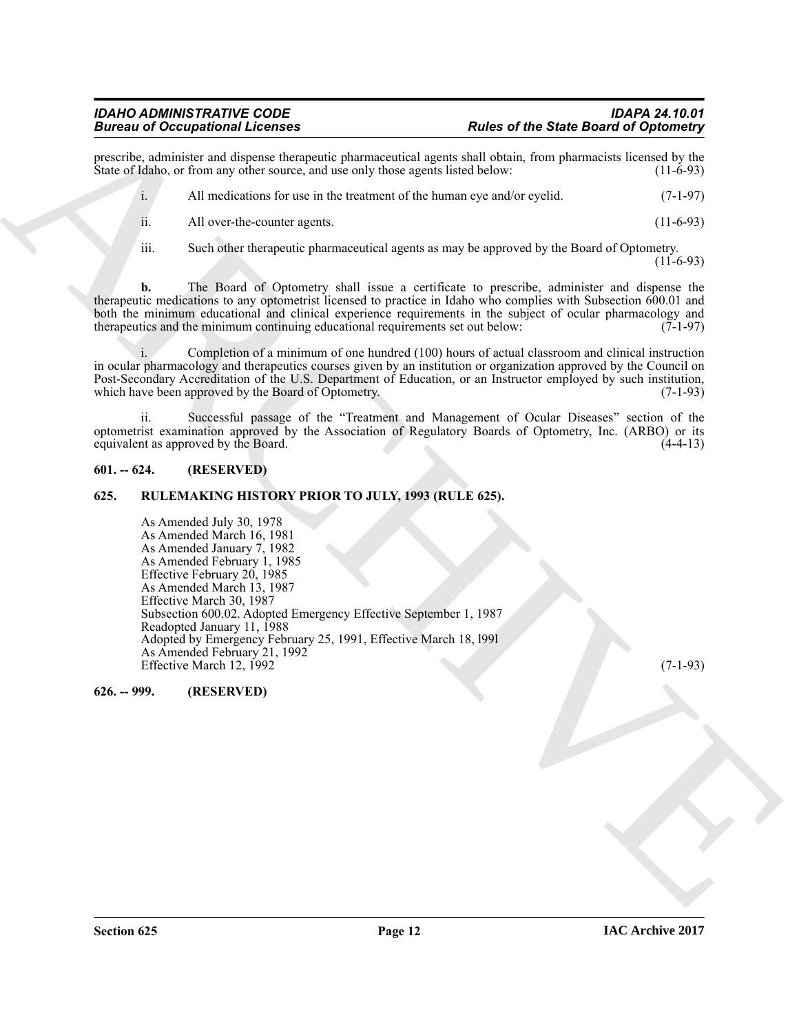prescribe, administer and dispense therapeutic pharmaceutical agents shall obtain, from pharmacists licensed by the State of Idaho, or from any other source, and use only those agents listed below: (11-6-93)

i. All medications for use in the treatment of the human eye and/or eyelid. (7-1-97) ii. All over-the-counter agents. (11-6-93)

iii. Such other therapeutic pharmaceutical agents as may be approved by the Board of Optometry.

 $(11-6-93)$ 

**b.** The Board of Optometry shall issue a certificate to prescribe, administer and dispense the therapeutic medications to any optometrist licensed to practice in Idaho who complies with Subsection 600.01 and both the minimum educational and clinical experience requirements in the subject of ocular pharmacology and therapeutics and the minimum continuing educational requirements set out below: (7-1-97) therapeutics and the minimum continuing educational requirements set out below:

Completion of a minimum of one hundred (100) hours of actual classroom and clinical instruction in ocular pharmacology and therapeutics courses given by an institution or organization approved by the Council on Post-Secondary Accreditation of the U.S. Department of Education, or an Instructor employed by such institution, which have been approved by the Board of Optometry. (7-1-93)

ii. Successful passage of the "Treatment and Management of Ocular Diseases" section of the optometrist examination approved by the Association of Regulatory Boards of Optometry, Inc. (ARBO) or its equivalent as approved by the Board.

#### <span id="page-11-0"></span>**601. -- 624. (RESERVED)**

### <span id="page-11-1"></span>**625. RULEMAKING HISTORY PRIOR TO JULY, 1993 (RULE 625).**

**Biomain of Occupation Reference control and the state of the State of the State Board of Optimizers<br>
Sources Labour is control and the three control and the state of the band of the state measure of the state of the band** As Amended July 30, 1978 As Amended March 16, 1981 As Amended January 7, 1982 As Amended February 1, 1985 Effective February 20, 1985 As Amended March 13, 1987 Effective March 30, 1987 Subsection 600.02. Adopted Emergency Effective September 1, 1987 Readopted January 11, 1988 Adopted by Emergency February 25, 1991, Effective March 18, l99l As Amended February 21, 1992 Effective March 12, 1992 (7-1-93)

<span id="page-11-2"></span>**626. -- 999. (RESERVED)**